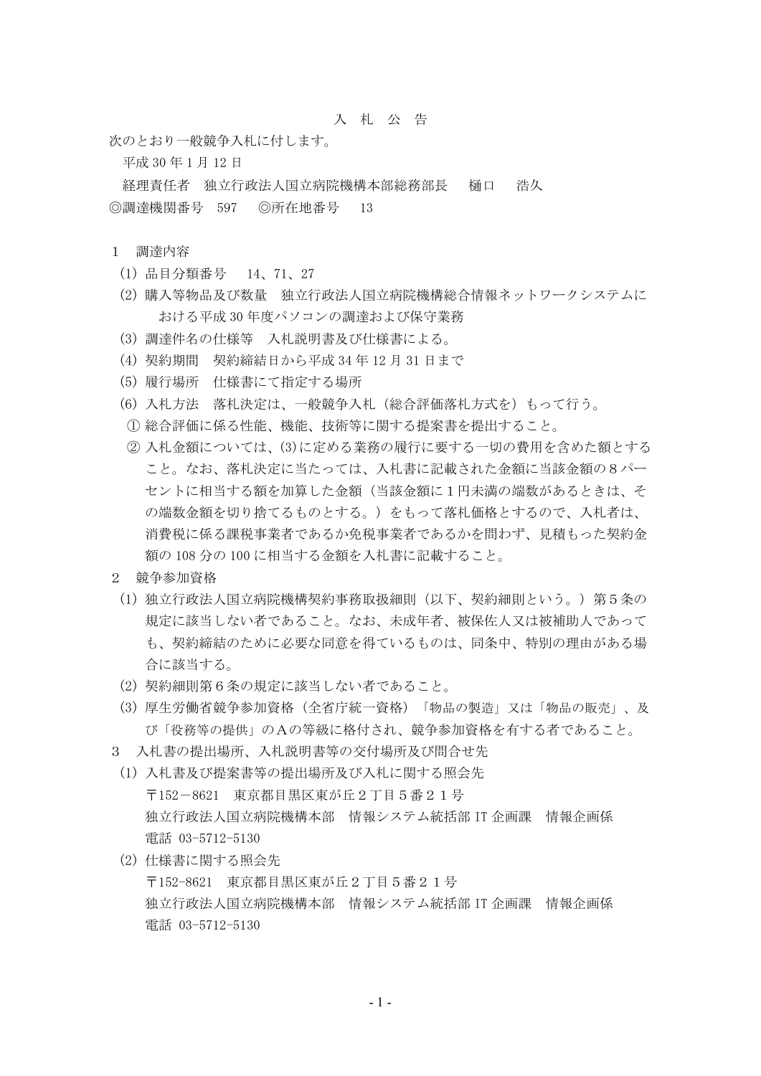## 入 札 公 告

次のとおり一般競争入札に付します。

平成 30 年 1 月 12 日

経理責任者 独立行政法人国立病院機構本部総務部長 樋口 浩久 ◎調達機関番号 597 ◎所在地番号 13

## 1 調達内容

- (1) 品目分類番号 14、71、27
- (2) 購入等物品及び数量 独立行政法人国立病院機構総合情報ネットワークシステムに おける平成 30 年度パソコンの調達および保守業務
- (3) 調達件名の仕様等 入札説明書及び仕様書による。
- (4) 契約期間 契約締結日から平成 34 年 12 月 31 日まで
- (5) 履行場所 仕様書にて指定する場所
- (6) 入札方法 落札決定は、一般競争入札(総合評価落札方式を)もって行う。
- ① 総合評価に係る性能、機能、技術等に関する提案書を提出すること。
- ② 入札金額については、(3)に定める業務の履行に要する一切の費用を含めた額とする こと。なお、落札決定に当たっては、入札書に記載された金額に当該金額の8パー セントに相当する額を加算した金額(当該金額に1円未満の端数があるときは、そ の端数金額を切り捨てるものとする。)をもって落札価格とするので、入札者は、 消費税に係る課税事業者であるか免税事業者であるかを問わず、見積もった契約金 額の 108 分の 100 に相当する金額を入札書に記載すること。
- 2 競争参加資格
	- (1) 独立行政法人国立病院機構契約事務取扱細則(以下、契約細則という。)第5条の 規定に該当しない者であること。なお、未成年者、被保佐人又は被補助人であって も、契約締結のために必要な同意を得ているものは、同条中、特別の理由がある場 合に該当する。
	- (2) 契約細則第6条の規定に該当しない者であること。
	- (3) 厚生労働省競争参加資格(全省庁統一資格)「物品の製造」又は「物品の販売」、及 び「役務等の提供」のAの等級に格付され、競争参加資格を有する者であること。
- 3 入札書の提出場所、入札説明書等の交付場所及び問合せ先
- (1) 入札書及び提案書等の提出場所及び入札に関する照会先 〒152-8621 東京都目黒区東が丘2丁目5番21号 独立行政法人国立病院機構本部 情報システム統括部 IT 企画課 情報企画係 電話 03-5712-5130
- (2) 仕様書に関する照会先 〒152-8621 東京都目黒区東が丘2丁目5番21号 独立行政法人国立病院機構本部 情報システム統括部 IT 企画課 情報企画係 電話 03-5712-5130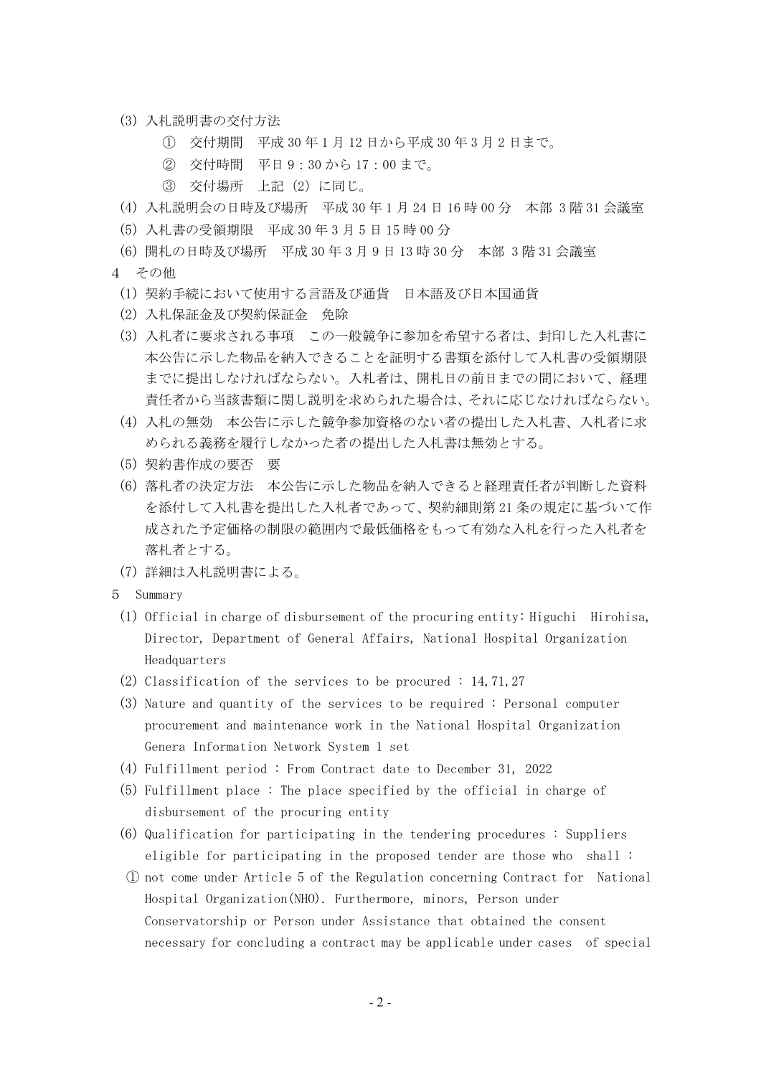- (3) 入札説明書の交付方法
	- ① 交付期間 平成 30 年 1 月 12 日から平成 30 年 3 月 2 日まで。
	- ② 交付時間 平日 9:30 から 17:00 まで。
	- ③ 交付場所 上記(2)に同じ。
- (4) 入札説明会の日時及び場所 平成 30 年 1 月 24 日 16 時 00 分 本部 3 階 31 会議室
- (5) 入札書の受領期限 平成 30 年 3 月 5 日 15 時 00 分
- (6) 開札の日時及び場所 平成 30 年 3 月 9 日 13 時 30 分 本部 3 階 31 会議室
- 4 その他
	- (1) 契約手続において使用する言語及び通貨 日本語及び日本国通貨
	- (2) 入札保証金及び契約保証金 免除
	- (3) 入札者に要求される事項 この一般競争に参加を希望する者は、封印した入札書に 本公告に示した物品を納入できることを証明する書類を添付して入札書の受領期限 までに提出しなければならない。入札者は、開札日の前日までの間において、経理 責任者から当該書類に関し説明を求められた場合は、それに応じなければならない。
	- (4) 入札の無効 本公告に示した競争参加資格のない者の提出した入札書、入札者に求 められる義務を履行しなかった者の提出した入札書は無効とする。
	- (5) 契約書作成の要否 要
	- (6) 落札者の決定方法 本公告に示した物品を納入できると経理責任者が判断した資料 を添付して入札書を提出した入札者であって、契約細則第 21 条の規定に基づいて作 成された予定価格の制限の範囲内で最低価格をもって有効な入札を行った入札者を 落札者とする。
	- (7) 詳細は入札説明書による。
- 5 Summary
	- (1) Official in charge of disbursement of the procuring entity: Higuchi Hirohisa, Director, Department of General Affairs, National Hospital Organization Headquarters
	- (2) Classification of the services to be procured : 14, 71, 27
	- (3) Nature and quantity of the services to be required : Personal computer procurement and maintenance work in the National Hospital Organization Genera Information Network System 1 set
	- (4) Fulfillment period : From Contract date to December 31, 2022
	- (5) Fulfillment place : The place specified by the official in charge of disbursement of the procuring entity
	- (6) Qualification for participating in the tendering procedures : Suppliers eligible for participating in the proposed tender are those who shall :
	- ① not come under Article 5 of the Regulation concerning Contract for National Hospital Organization(NHO). Furthermore, minors, Person under Conservatorship or Person under Assistance that obtained the consent necessary for concluding a contract may be applicable under cases of special